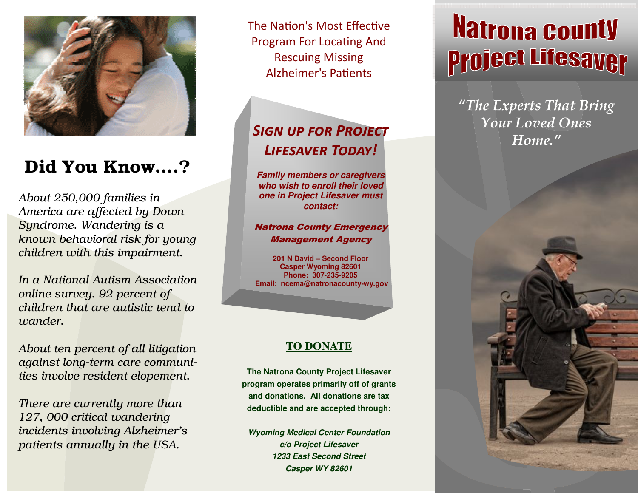

## Did You Know….?

About 250,000 families in America are affected by Down Syndrome. Wandering is a known behavioral risk for young children with this impairment.

In a National Autism Association online survey. 92 percent of children that are autistic tend to wander.

About ten percent of all litigation against long-term care communities involve resident elopement.

There are currently more than 127, 000 critical wandering incidents involving Alzheimer's patients annually in the USA.

The Nation's Most Effective Program For Locating And Rescuing Missing Alzheimer's Patients

## SIGN UP FOR PROJECT LIFESAVER TODAY!

**Family members or caregivers who wish to enroll their loved one in Project Lifesaver must contact:** 

#### Natrona County Emergency Management Agency

**201 N David – Second Floor Casper Wyoming 82601 Phone: 307-235-9205 Email: ncema@natronacounty-wy.gov**

#### **TO DONATE**

**The Natrona County Project Lifesaver program operates primarily off of grants and donations. All donations are tax deductible and are accepted through:** 

**Wyoming Medical Center Foundation c/o Project Lifesaver 1233 East Second Street Casper WY 82601** 

# **Natrona County Project Lifesaver**

"The Experts That Bring Your Loved Ones Home."